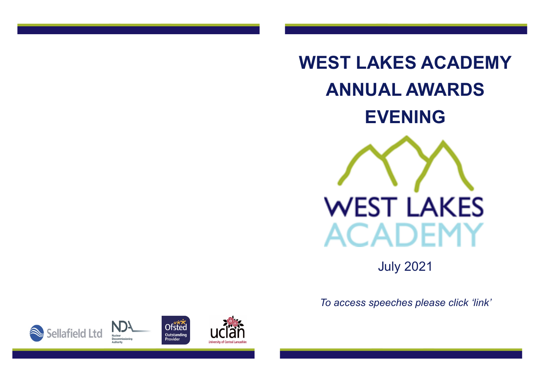

July 2021

*To access speeches please click 'link'*